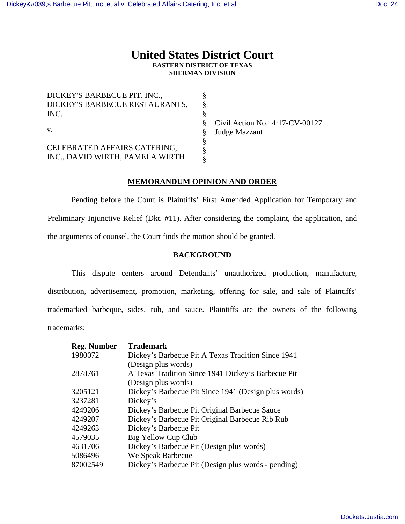# **United States District Court EASTERN DISTRICT OF TEXAS SHERMAN DIVISION**

| DICKEY'S BARBECUE PIT, INC.,    |       |
|---------------------------------|-------|
| DICKEY'S BARBECUE RESTAURANTS,  |       |
| INC.                            |       |
|                                 | Civil |
| V.                              | Judg  |
|                                 |       |
| CELEBRATED AFFAIRS CATERING,    |       |
| INC., DAVID WIRTH, PAMELA WIRTH |       |

1 Action No. 4:17-CV-00127 e Mazzant

## **MEMORANDUM OPINION AND ORDER**

 Pending before the Court is Plaintiffs' First Amended Application for Temporary and Preliminary Injunctive Relief (Dkt. #11). After considering the complaint, the application, and the arguments of counsel, the Court finds the motion should be granted.

## **BACKGROUND**

 This dispute centers around Defendants' unauthorized production, manufacture, distribution, advertisement, promotion, marketing, offering for sale, and sale of Plaintiffs' trademarked barbeque, sides, rub, and sauce. Plaintiffs are the owners of the following trademarks:

| <b>Trademark</b>                                     |
|------------------------------------------------------|
| Dickey's Barbecue Pit A Texas Tradition Since 1941   |
| (Design plus words)                                  |
| A Texas Tradition Since 1941 Dickey's Barbecue Pit   |
| (Design plus words)                                  |
| Dickey's Barbecue Pit Since 1941 (Design plus words) |
| Dickey's                                             |
| Dickey's Barbecue Pit Original Barbecue Sauce        |
| Dickey's Barbecue Pit Original Barbecue Rib Rub      |
| Dickey's Barbecue Pit                                |
| Big Yellow Cup Club                                  |
| Dickey's Barbecue Pit (Design plus words)            |
| We Speak Barbecue                                    |
| Dickey's Barbecue Pit (Design plus words - pending)  |
|                                                      |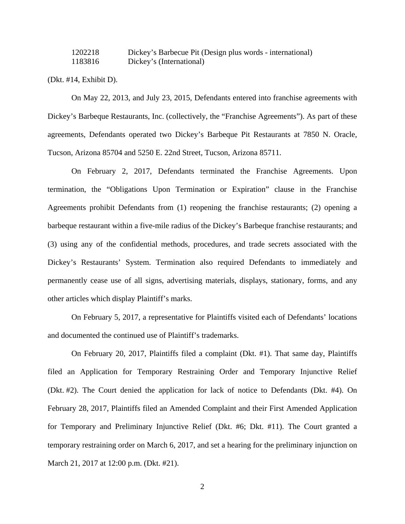1202218 Dickey's Barbecue Pit (Design plus words - international) 1183816 Dickey's (International)

(Dkt. #14, Exhibit D).

On May 22, 2013, and July 23, 2015, Defendants entered into franchise agreements with Dickey's Barbeque Restaurants, Inc. (collectively, the "Franchise Agreements"). As part of these agreements, Defendants operated two Dickey's Barbeque Pit Restaurants at 7850 N. Oracle, Tucson, Arizona 85704 and 5250 E. 22nd Street, Tucson, Arizona 85711.

 On February 2, 2017, Defendants terminated the Franchise Agreements. Upon termination, the "Obligations Upon Termination or Expiration" clause in the Franchise Agreements prohibit Defendants from (1) reopening the franchise restaurants; (2) opening a barbeque restaurant within a five-mile radius of the Dickey's Barbeque franchise restaurants; and (3) using any of the confidential methods, procedures, and trade secrets associated with the Dickey's Restaurants' System. Termination also required Defendants to immediately and permanently cease use of all signs, advertising materials, displays, stationary, forms, and any other articles which display Plaintiff's marks.

 On February 5, 2017, a representative for Plaintiffs visited each of Defendants' locations and documented the continued use of Plaintiff's trademarks.

 On February 20, 2017, Plaintiffs filed a complaint (Dkt. #1). That same day, Plaintiffs filed an Application for Temporary Restraining Order and Temporary Injunctive Relief (Dkt. #2). The Court denied the application for lack of notice to Defendants (Dkt. #4). On February 28, 2017, Plaintiffs filed an Amended Complaint and their First Amended Application for Temporary and Preliminary Injunctive Relief (Dkt. #6; Dkt. #11). The Court granted a temporary restraining order on March 6, 2017, and set a hearing for the preliminary injunction on March 21, 2017 at 12:00 p.m. (Dkt. #21).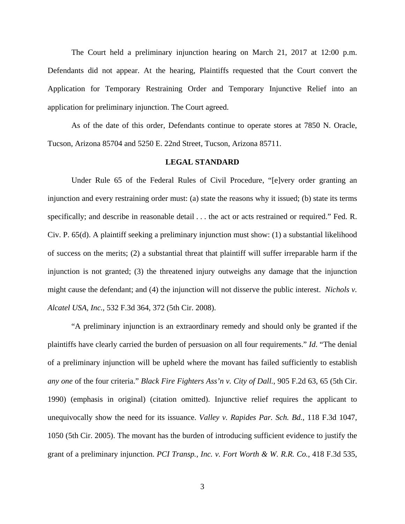The Court held a preliminary injunction hearing on March 21, 2017 at 12:00 p.m. Defendants did not appear. At the hearing, Plaintiffs requested that the Court convert the Application for Temporary Restraining Order and Temporary Injunctive Relief into an application for preliminary injunction. The Court agreed.

 As of the date of this order, Defendants continue to operate stores at 7850 N. Oracle, Tucson, Arizona 85704 and 5250 E. 22nd Street, Tucson, Arizona 85711.

### **LEGAL STANDARD**

Under Rule 65 of the Federal Rules of Civil Procedure, "[e]very order granting an injunction and every restraining order must: (a) state the reasons why it issued; (b) state its terms specifically; and describe in reasonable detail  $\dots$  the act or acts restrained or required." Fed. R. Civ. P. 65(d). A plaintiff seeking a preliminary injunction must show: (1) a substantial likelihood of success on the merits; (2) a substantial threat that plaintiff will suffer irreparable harm if the injunction is not granted; (3) the threatened injury outweighs any damage that the injunction might cause the defendant; and (4) the injunction will not disserve the public interest. *Nichols v. Alcatel USA, Inc.*, 532 F.3d 364, 372 (5th Cir. 2008).

"A preliminary injunction is an extraordinary remedy and should only be granted if the plaintiffs have clearly carried the burden of persuasion on all four requirements." *Id*. "The denial of a preliminary injunction will be upheld where the movant has failed sufficiently to establish *any one* of the four criteria." *Black Fire Fighters Ass'n v. City of Dall.*, 905 F.2d 63, 65 (5th Cir. 1990) (emphasis in original) (citation omitted). Injunctive relief requires the applicant to unequivocally show the need for its issuance. *Valley v. Rapides Par. Sch. Bd.*, 118 F.3d 1047, 1050 (5th Cir. 2005). The movant has the burden of introducing sufficient evidence to justify the grant of a preliminary injunction. *PCI Transp., Inc. v. Fort Worth & W. R.R. Co.*, 418 F.3d 535,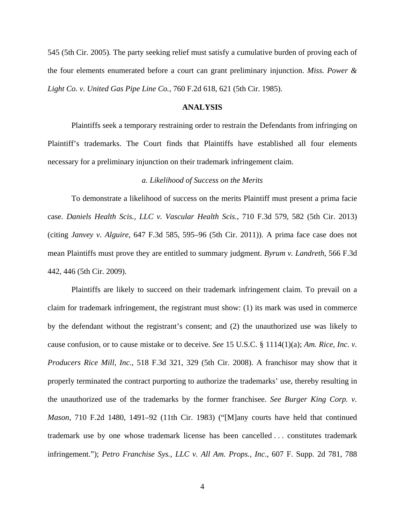545 (5th Cir. 2005)*.* The party seeking relief must satisfy a cumulative burden of proving each of the four elements enumerated before a court can grant preliminary injunction. *Miss. Power & Light Co. v. United Gas Pipe Line Co.*, 760 F.2d 618, 621 (5th Cir. 1985).

#### **ANALYSIS**

 Plaintiffs seek a temporary restraining order to restrain the Defendants from infringing on Plaintiff's trademarks. The Court finds that Plaintiffs have established all four elements necessary for a preliminary injunction on their trademark infringement claim.

#### *a. Likelihood of Success on the Merits*

 To demonstrate a likelihood of success on the merits Plaintiff must present a prima facie case. *Daniels Health Scis., LLC v. Vascular Health Scis.*, 710 F.3d 579, 582 (5th Cir. 2013) (citing *Janvey v. Alguire*, 647 F.3d 585, 595–96 (5th Cir. 2011)). A prima face case does not mean Plaintiffs must prove they are entitled to summary judgment. *Byrum v. Landreth*, 566 F.3d 442, 446 (5th Cir. 2009).

Plaintiffs are likely to succeed on their trademark infringement claim. To prevail on a claim for trademark infringement, the registrant must show: (1) its mark was used in commerce by the defendant without the registrant's consent; and (2) the unauthorized use was likely to cause confusion, or to cause mistake or to deceive. *See* 15 U.S.C. § 1114(1)(a); *Am. Rice, Inc. v. Producers Rice Mill, Inc*., 518 F.3d 321, 329 (5th Cir. 2008). A franchisor may show that it properly terminated the contract purporting to authorize the trademarks' use, thereby resulting in the unauthorized use of the trademarks by the former franchisee. *See Burger King Corp. v. Mason*, 710 F.2d 1480, 1491–92 (11th Cir. 1983) ("[M]any courts have held that continued trademark use by one whose trademark license has been cancelled . . . constitutes trademark infringement."); *Petro Franchise Sys., LLC v. All Am. Props., Inc*., 607 F. Supp. 2d 781, 788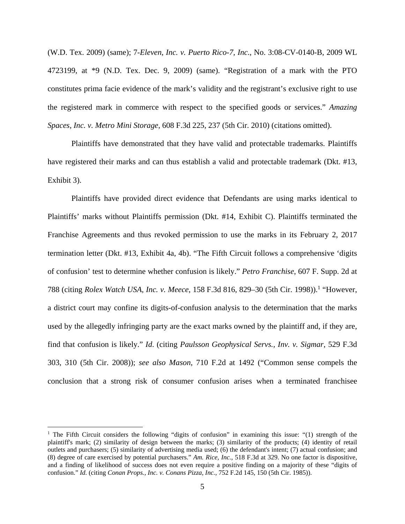(W.D. Tex. 2009) (same); 7*-Eleven, Inc. v. Puerto Rico-7, Inc*., No. 3:08-CV-0140-B, 2009 WL 4723199, at \*9 (N.D. Tex. Dec. 9, 2009) (same). "Registration of a mark with the PTO constitutes prima facie evidence of the mark's validity and the registrant's exclusive right to use the registered mark in commerce with respect to the specified goods or services." *Amazing Spaces, Inc. v. Metro Mini Storage*, 608 F.3d 225, 237 (5th Cir. 2010) (citations omitted).

Plaintiffs have demonstrated that they have valid and protectable trademarks. Plaintiffs have registered their marks and can thus establish a valid and protectable trademark (Dkt. #13, Exhibit 3).

Plaintiffs have provided direct evidence that Defendants are using marks identical to Plaintiffs' marks without Plaintiffs permission (Dkt. #14, Exhibit C). Plaintiffs terminated the Franchise Agreements and thus revoked permission to use the marks in its February 2, 2017 termination letter (Dkt. #13, Exhibit 4a, 4b). "The Fifth Circuit follows a comprehensive 'digits of confusion' test to determine whether confusion is likely." *Petro Franchise*, 607 F. Supp. 2d at 788 (citing *Rolex Watch USA, Inc. v. Meece,* 158 F.3d 816, 829–30 (5th Cir. 1998)).<sup>1</sup> "However, a district court may confine its digits-of-confusion analysis to the determination that the marks used by the allegedly infringing party are the exact marks owned by the plaintiff and, if they are, find that confusion is likely." *Id*. (citing *Paulsson Geophysical Servs., Inv. v. Sigmar*, 529 F.3d 303, 310 (5th Cir. 2008)); *see also Mason*, 710 F.2d at 1492 ("Common sense compels the conclusion that a strong risk of consumer confusion arises when a terminated franchisee

 $\overline{a}$ 

<sup>&</sup>lt;sup>1</sup> The Fifth Circuit considers the following "digits of confusion" in examining this issue: "(1) strength of the plaintiff's mark; (2) similarity of design between the marks; (3) similarity of the products; (4) identity of retail outlets and purchasers; (5) similarity of advertising media used; (6) the defendant's intent; (7) actual confusion; and (8) degree of care exercised by potential purchasers." *Am. Rice, Inc.*, 518 F.3d at 329. No one factor is dispositive, and a finding of likelihood of success does not even require a positive finding on a majority of these "digits of confusion." *Id.* (citing *Conan Props., Inc. v. Conans Pizza, Inc.*, 752 F.2d 145, 150 (5th Cir. 1985)).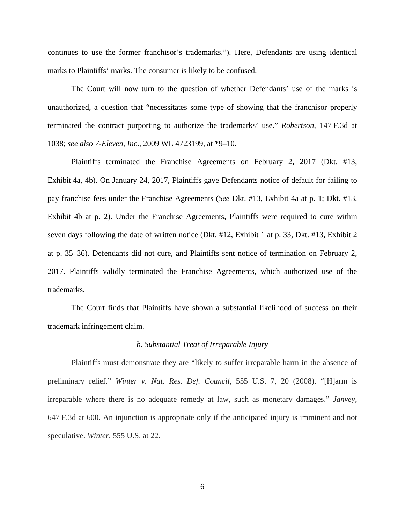continues to use the former franchisor's trademarks."). Here, Defendants are using identical marks to Plaintiffs' marks. The consumer is likely to be confused.

The Court will now turn to the question of whether Defendants' use of the marks is unauthorized, a question that "necessitates some type of showing that the franchisor properly terminated the contract purporting to authorize the trademarks' use." *Robertson*, 147 F.3d at 1038; *see also 7-Eleven, Inc*., 2009 WL 4723199, at \*9–10.

Plaintiffs terminated the Franchise Agreements on February 2, 2017 (Dkt. #13, Exhibit 4a, 4b). On January 24, 2017, Plaintiffs gave Defendants notice of default for failing to pay franchise fees under the Franchise Agreements (*See* Dkt. #13, Exhibit 4a at p. 1; Dkt. #13, Exhibit 4b at p. 2). Under the Franchise Agreements, Plaintiffs were required to cure within seven days following the date of written notice (Dkt. #12, Exhibit 1 at p. 33, Dkt. #13, Exhibit 2 at p. 35–36). Defendants did not cure, and Plaintiffs sent notice of termination on February 2, 2017. Plaintiffs validly terminated the Franchise Agreements, which authorized use of the trademarks.

The Court finds that Plaintiffs have shown a substantial likelihood of success on their trademark infringement claim.

### *b. Substantial Treat of Irreparable Injury*

Plaintiffs must demonstrate they are "likely to suffer irreparable harm in the absence of preliminary relief." *Winter v. Nat. Res. Def. Council*, 555 U.S. 7, 20 (2008). "[H]arm is irreparable where there is no adequate remedy at law, such as monetary damages." *Janvey*, 647 F.3d at 600. An injunction is appropriate only if the anticipated injury is imminent and not speculative. *Winter*, 555 U.S. at 22.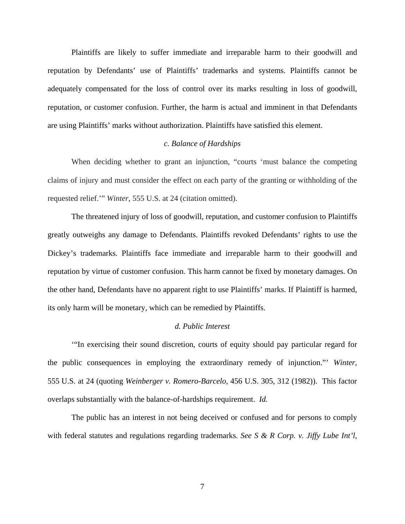Plaintiffs are likely to suffer immediate and irreparable harm to their goodwill and reputation by Defendants' use of Plaintiffs' trademarks and systems. Plaintiffs cannot be adequately compensated for the loss of control over its marks resulting in loss of goodwill, reputation, or customer confusion. Further, the harm is actual and imminent in that Defendants are using Plaintiffs' marks without authorization. Plaintiffs have satisfied this element.

### *c. Balance of Hardships*

When deciding whether to grant an injunction, "courts 'must balance the competing claims of injury and must consider the effect on each party of the granting or withholding of the requested relief.'" *Winter*, 555 U.S. at 24 (citation omitted).

The threatened injury of loss of goodwill, reputation, and customer confusion to Plaintiffs greatly outweighs any damage to Defendants. Plaintiffs revoked Defendants' rights to use the Dickey's trademarks. Plaintiffs face immediate and irreparable harm to their goodwill and reputation by virtue of customer confusion. This harm cannot be fixed by monetary damages. On the other hand, Defendants have no apparent right to use Plaintiffs' marks. If Plaintiff is harmed, its only harm will be monetary, which can be remedied by Plaintiffs.

#### *d. Public Interest*

'"In exercising their sound discretion, courts of equity should pay particular regard for the public consequences in employing the extraordinary remedy of injunction."' *Winter*, 555 U.S. at 24 (quoting *Weinberger v. Romero-Barcelo*, 456 U.S. 305, 312 (1982)). This factor overlaps substantially with the balance-of-hardships requirement. *Id.* 

The public has an interest in not being deceived or confused and for persons to comply with federal statutes and regulations regarding trademarks. *See S & R Corp. v. Jiffy Lube Int'l,*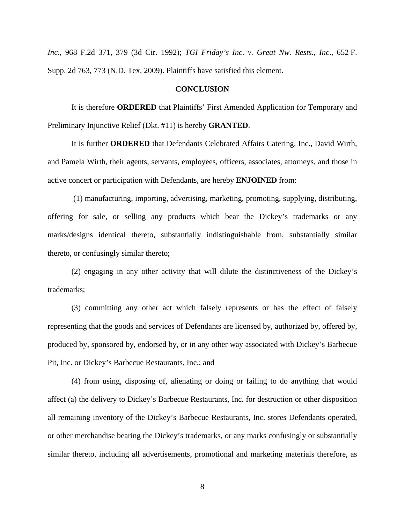*Inc.*, 968 F.2d 371, 379 (3d Cir. 1992); *TGI Friday's Inc. v. Great Nw. Rests., Inc*., 652 F. Supp. 2d 763, 773 (N.D. Tex. 2009). Plaintiffs have satisfied this element.

### **CONCLUSION**

It is therefore **ORDERED** that Plaintiffs' First Amended Application for Temporary and Preliminary Injunctive Relief (Dkt. #11) is hereby **GRANTED**.

It is further **ORDERED** that Defendants Celebrated Affairs Catering, Inc., David Wirth, and Pamela Wirth, their agents, servants, employees, officers, associates, attorneys, and those in active concert or participation with Defendants, are hereby **ENJOINED** from:

 (1) manufacturing, importing, advertising, marketing, promoting, supplying, distributing, offering for sale, or selling any products which bear the Dickey's trademarks or any marks/designs identical thereto, substantially indistinguishable from, substantially similar thereto, or confusingly similar thereto;

(2) engaging in any other activity that will dilute the distinctiveness of the Dickey's trademarks;

(3) committing any other act which falsely represents or has the effect of falsely representing that the goods and services of Defendants are licensed by, authorized by, offered by, produced by, sponsored by, endorsed by, or in any other way associated with Dickey's Barbecue Pit, Inc. or Dickey's Barbecue Restaurants, Inc.; and

(4) from using, disposing of, alienating or doing or failing to do anything that would affect (a) the delivery to Dickey's Barbecue Restaurants, Inc. for destruction or other disposition all remaining inventory of the Dickey's Barbecue Restaurants, Inc. stores Defendants operated, or other merchandise bearing the Dickey's trademarks, or any marks confusingly or substantially similar thereto, including all advertisements, promotional and marketing materials therefore, as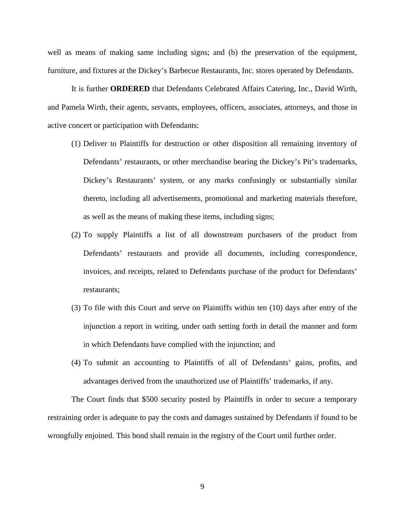well as means of making same including signs; and (b) the preservation of the equipment, furniture, and fixtures at the Dickey's Barbecue Restaurants, Inc. stores operated by Defendants.

It is further **ORDERED** that Defendants Celebrated Affairs Catering, Inc., David Wirth, and Pamela Wirth, their agents, servants, employees, officers, associates, attorneys, and those in active concert or participation with Defendants:

- (1) Deliver to Plaintiffs for destruction or other disposition all remaining inventory of Defendants' restaurants, or other merchandise bearing the Dickey's Pit's trademarks, Dickey's Restaurants' system, or any marks confusingly or substantially similar thereto, including all advertisements, promotional and marketing materials therefore, as well as the means of making these items, including signs;
- (2) To supply Plaintiffs a list of all downstream purchasers of the product from Defendants' restaurants and provide all documents, including correspondence, invoices, and receipts, related to Defendants purchase of the product for Defendants' restaurants;
- (3) To file with this Court and serve on Plaintiffs within ten (10) days after entry of the injunction a report in writing, under oath setting forth in detail the manner and form in which Defendants have complied with the injunction; and
- (4) To submit an accounting to Plaintiffs of all of Defendants' gains, profits, and advantages derived from the unauthorized use of Plaintiffs' trademarks, if any.

The Court finds that \$500 security posted by Plaintiffs in order to secure a temporary restraining order is adequate to pay the costs and damages sustained by Defendants if found to be wrongfully enjoined. This bond shall remain in the registry of the Court until further order.

9